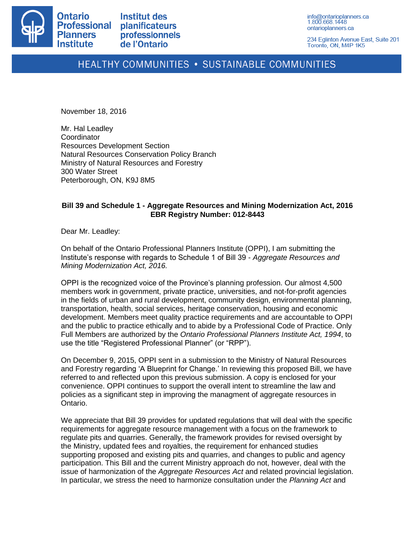

**Institut des** planificateurs professionnels de l'Ontario

info@ontarioplanners.ca 1.800.668.1448 ontarioplanners.ca

234 Eglinton Avenue East, Suite 201 Toronto, ON, M4P 1K5

# HEALTHY COMMUNITIES . SUSTAINABLE COMMUNITIES

November 18, 2016

Mr. Hal Leadley **Coordinator** Resources Development Section Natural Resources Conservation Policy Branch Ministry of Natural Resources and Forestry 300 Water Street Peterborough, ON, K9J 8M5

#### **Bill 39 and Schedule 1 - Aggregate Resources and Mining Modernization Act, 2016 EBR Registry Number: 012-8443**

Dear Mr. Leadley:

On behalf of the Ontario Professional Planners Institute (OPPI), I am submitting the Institute's response with regards to Schedule 1 of Bill 39 - *Aggregate Resources and Mining Modernization Act, 2016.*

OPPI is the recognized voice of the Province's planning profession. Our almost 4,500 members work in government, private practice, universities, and not-for-profit agencies in the fields of urban and rural development, community design, environmental planning, transportation, health, social services, heritage conservation, housing and economic development. Members meet quality practice requirements and are accountable to OPPI and the public to practice ethically and to abide by a Professional Code of Practice. Only Full Members are authorized by the *Ontario Professional Planners Institute Act, 1994*, to use the title "Registered Professional Planner" (or "RPP").

On December 9, 2015, OPPI sent in a submission to the Ministry of Natural Resources and Forestry regarding 'A Blueprint for Change.' In reviewing this proposed Bill, we have referred to and reflected upon this previous submission. A copy is enclosed for your convenience. OPPI continues to support the overall intent to streamline the law and policies as a significant step in improving the managment of aggregate resources in Ontario.

We appreciate that Bill 39 provides for updated regulations that will deal with the specific requirements for aggregate resource management with a focus on the framework to regulate pits and quarries. Generally, the framework provides for revised oversight by the Ministry, updated fees and royalties, the requirement for enhanced studies supporting proposed and existing pits and quarries, and changes to public and agency participation. This Bill and the current Ministry approach do not, however, deal with the issue of harmonization of the *Aggregate Resources Act* and related provincial legislation. In particular, we stress the need to harmonize consultation under the *Planning Act* and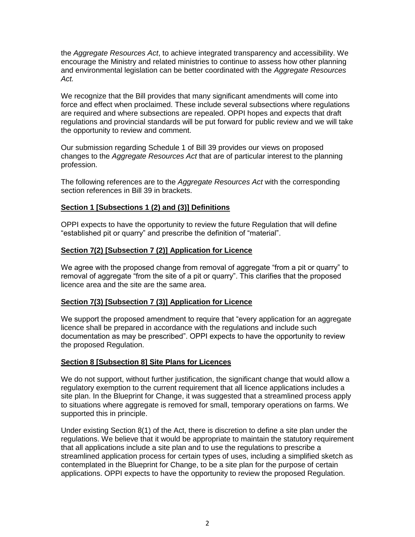the *Aggregate Resources Act*, to achieve integrated transparency and accessibility. We encourage the Ministry and related ministries to continue to assess how other planning and environmental legislation can be better coordinated with the *Aggregate Resources Act.*

We recognize that the Bill provides that many significant amendments will come into force and effect when proclaimed. These include several subsections where regulations are required and where subsections are repealed. OPPI hopes and expects that draft regulations and provincial standards will be put forward for public review and we will take the opportunity to review and comment.

Our submission regarding Schedule 1 of Bill 39 provides our views on proposed changes to the *Aggregate Resources Act* that are of particular interest to the planning profession.

The following references are to the *Aggregate Resources Act* with the corresponding section references in Bill 39 in brackets.

#### **Section 1 [Subsections 1 (2) and (3)] Definitions**

OPPI expects to have the opportunity to review the future Regulation that will define "established pit or quarry" and prescribe the definition of "material".

#### **Section 7(2) [Subsection 7 (2)] Application for Licence**

We agree with the proposed change from removal of aggregate "from a pit or quarry" to removal of aggregate "from the site of a pit or quarry". This clarifies that the proposed licence area and the site are the same area.

## **Section 7(3) [Subsection 7 (3)] Application for Licence**

We support the proposed amendment to require that "every application for an aggregate licence shall be prepared in accordance with the regulations and include such documentation as may be prescribed". OPPI expects to have the opportunity to review the proposed Regulation.

#### **Section 8 [Subsection 8] Site Plans for Licences**

We do not support, without further justification, the significant change that would allow a regulatory exemption to the current requirement that all licence applications includes a site plan. In the Blueprint for Change, it was suggested that a streamlined process apply to situations where aggregate is removed for small, temporary operations on farms. We supported this in principle.

Under existing Section 8(1) of the Act, there is discretion to define a site plan under the regulations. We believe that it would be appropriate to maintain the statutory requirement that all applications include a site plan and to use the regulations to prescribe a streamlined application process for certain types of uses, including a simplified sketch as contemplated in the Blueprint for Change, to be a site plan for the purpose of certain applications. OPPI expects to have the opportunity to review the proposed Regulation.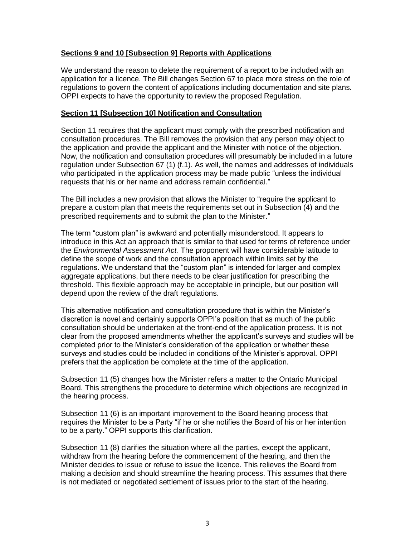## **Sections 9 and 10 [Subsection 9] Reports with Applications**

We understand the reason to delete the requirement of a report to be included with an application for a licence. The Bill changes Section 67 to place more stress on the role of regulations to govern the content of applications including documentation and site plans. OPPI expects to have the opportunity to review the proposed Regulation.

#### **Section 11 [Subsection 10] Notification and Consultation**

Section 11 requires that the applicant must comply with the prescribed notification and consultation procedures. The Bill removes the provision that any person may object to the application and provide the applicant and the Minister with notice of the objection. Now, the notification and consultation procedures will presumably be included in a future regulation under Subsection 67 (1) (f.1). As well, the names and addresses of individuals who participated in the application process may be made public "unless the individual requests that his or her name and address remain confidential."

The Bill includes a new provision that allows the Minister to "require the applicant to prepare a custom plan that meets the requirements set out in Subsection (4) and the prescribed requirements and to submit the plan to the Minister."

The term "custom plan" is awkward and potentially misunderstood. It appears to introduce in this Act an approach that is similar to that used for terms of reference under the *Environmental Assessment Act.* The proponent will have considerable latitude to define the scope of work and the consultation approach within limits set by the regulations. We understand that the "custom plan" is intended for larger and complex aggregate applications, but there needs to be clear justification for prescribing the threshold. This flexible approach may be acceptable in principle, but our position will depend upon the review of the draft regulations.

This alternative notification and consultation procedure that is within the Minister's discretion is novel and certainly supports OPPI's position that as much of the public consultation should be undertaken at the front-end of the application process. It is not clear from the proposed amendments whether the applicant's surveys and studies will be completed prior to the Minister's consideration of the application or whether these surveys and studies could be included in conditions of the Minister's approval. OPPI prefers that the application be complete at the time of the application.

Subsection 11 (5) changes how the Minister refers a matter to the Ontario Municipal Board. This strengthens the procedure to determine which objections are recognized in the hearing process.

Subsection 11 (6) is an important improvement to the Board hearing process that requires the Minister to be a Party "if he or she notifies the Board of his or her intention to be a party." OPPI supports this clarification.

Subsection 11 (8) clarifies the situation where all the parties, except the applicant, withdraw from the hearing before the commencement of the hearing, and then the Minister decides to issue or refuse to issue the licence. This relieves the Board from making a decision and should streamline the hearing process. This assumes that there is not mediated or negotiated settlement of issues prior to the start of the hearing.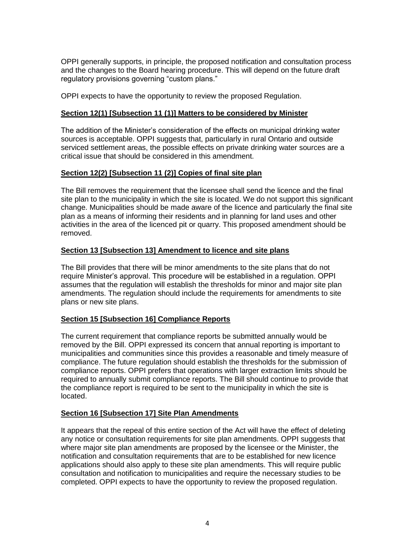OPPI generally supports, in principle, the proposed notification and consultation process and the changes to the Board hearing procedure. This will depend on the future draft regulatory provisions governing "custom plans."

OPPI expects to have the opportunity to review the proposed Regulation.

#### **Section 12(1) [Subsection 11 (1)] Matters to be considered by Minister**

The addition of the Minister's consideration of the effects on municipal drinking water sources is acceptable. OPPI suggests that, particularly in rural Ontario and outside serviced settlement areas, the possible effects on private drinking water sources are a critical issue that should be considered in this amendment.

#### **Section 12(2) [Subsection 11 (2)] Copies of final site plan**

The Bill removes the requirement that the licensee shall send the licence and the final site plan to the municipality in which the site is located. We do not support this significant change. Municipalities should be made aware of the licence and particularly the final site plan as a means of informing their residents and in planning for land uses and other activities in the area of the licenced pit or quarry. This proposed amendment should be removed.

#### **Section 13 [Subsection 13] Amendment to licence and site plans**

The Bill provides that there will be minor amendments to the site plans that do not require Minister's approval. This procedure will be established in a regulation. OPPI assumes that the regulation will establish the thresholds for minor and major site plan amendments. The regulation should include the requirements for amendments to site plans or new site plans.

## **Section 15 [Subsection 16] Compliance Reports**

The current requirement that compliance reports be submitted annually would be removed by the Bill. OPPI expressed its concern that annual reporting is important to municipalities and communities since this provides a reasonable and timely measure of compliance. The future regulation should establish the thresholds for the submission of compliance reports. OPPI prefers that operations with larger extraction limits should be required to annually submit compliance reports. The Bill should continue to provide that the compliance report is required to be sent to the municipality in which the site is located.

## **Section 16 [Subsection 17] Site Plan Amendments**

It appears that the repeal of this entire section of the Act will have the effect of deleting any notice or consultation requirements for site plan amendments. OPPI suggests that where major site plan amendments are proposed by the licensee or the Minister, the notification and consultation requirements that are to be established for new licence applications should also apply to these site plan amendments. This will require public consultation and notification to municipalities and require the necessary studies to be completed. OPPI expects to have the opportunity to review the proposed regulation.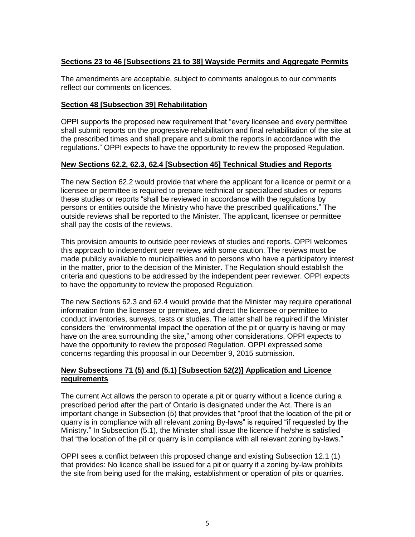# **Sections 23 to 46 [Subsections 21 to 38] Wayside Permits and Aggregate Permits**

The amendments are acceptable, subject to comments analogous to our comments reflect our comments on licences.

#### **Section 48 [Subsection 39] Rehabilitation**

OPPI supports the proposed new requirement that "every licensee and every permittee shall submit reports on the progressive rehabilitation and final rehabilitation of the site at the prescribed times and shall prepare and submit the reports in accordance with the regulations." OPPI expects to have the opportunity to review the proposed Regulation.

## **New Sections 62.2, 62.3, 62.4 [Subsection 45] Technical Studies and Reports**

The new Section 62.2 would provide that where the applicant for a licence or permit or a licensee or permittee is required to prepare technical or specialized studies or reports these studies or reports "shall be reviewed in accordance with the regulations by persons or entities outside the Ministry who have the prescribed qualifications." The outside reviews shall be reported to the Minister. The applicant, licensee or permittee shall pay the costs of the reviews.

This provision amounts to outside peer reviews of studies and reports. OPPI welcomes this approach to independent peer reviews with some caution. The reviews must be made publicly available to municipalities and to persons who have a participatory interest in the matter, prior to the decision of the Minister. The Regulation should establish the criteria and questions to be addressed by the independent peer reviewer. OPPI expects to have the opportunity to review the proposed Regulation.

The new Sections 62.3 and 62.4 would provide that the Minister may require operational information from the licensee or permittee, and direct the licensee or permittee to conduct inventories, surveys, tests or studies. The latter shall be required if the Minister considers the "environmental impact the operation of the pit or quarry is having or may have on the area surrounding the site," among other considerations. OPPI expects to have the opportunity to review the proposed Regulation. OPPI expressed some concerns regarding this proposal in our December 9, 2015 submission.

## **New Subsections 71 (5) and (5.1) [Subsection 52(2)] Application and Licence requirements**

The current Act allows the person to operate a pit or quarry without a licence during a prescribed period after the part of Ontario is designated under the Act. There is an important change in Subsection (5) that provides that "proof that the location of the pit or quarry is in compliance with all relevant zoning By-laws" is required "if requested by the Ministry." In Subsection (5.1), the Minister shall issue the licence if he/she is satisfied that "the location of the pit or quarry is in compliance with all relevant zoning by-laws."

OPPI sees a conflict between this proposed change and existing Subsection 12.1 (1) that provides: No licence shall be issued for a pit or quarry if a zoning by-law prohibits the site from being used for the making, establishment or operation of pits or quarries.